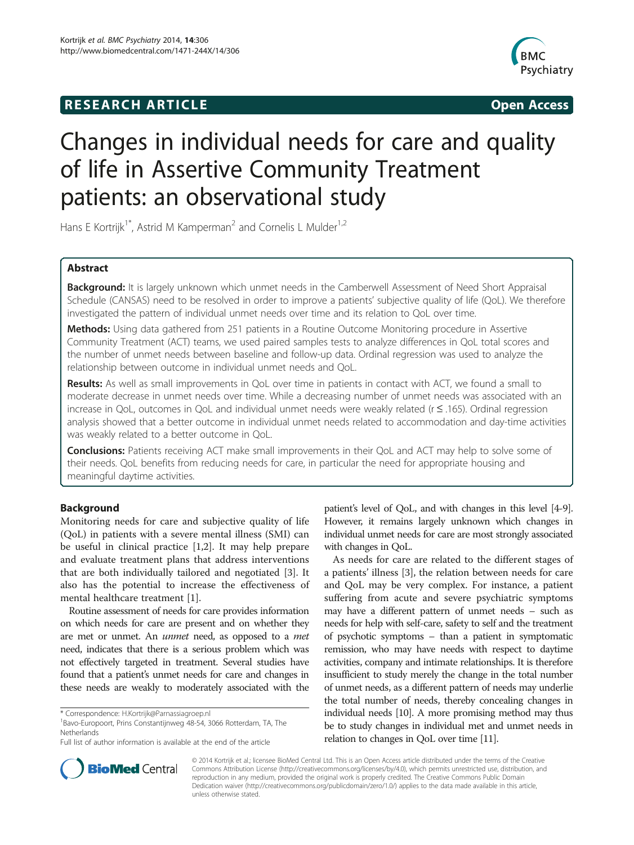## **RESEARCH ARTICLE Example 2014 CONSIDERING CONSIDERING CONSIDERING CONSIDERING CONSIDERING CONSIDERING CONSIDERING CONSIDERING CONSIDERING CONSIDERING CONSIDERING CONSIDERING CONSIDERING CONSIDERING CONSIDERING CONSIDE**



# Changes in individual needs for care and quality of life in Assertive Community Treatment patients: an observational study

Hans E Kortrijk<sup>1\*</sup>, Astrid M Kamperman<sup>2</sup> and Cornelis L Mulder<sup>1,2</sup>

## Abstract

Background: It is largely unknown which unmet needs in the Camberwell Assessment of Need Short Appraisal Schedule (CANSAS) need to be resolved in order to improve a patients' subjective quality of life (QoL). We therefore investigated the pattern of individual unmet needs over time and its relation to QoL over time.

Methods: Using data gathered from 251 patients in a Routine Outcome Monitoring procedure in Assertive Community Treatment (ACT) teams, we used paired samples tests to analyze differences in QoL total scores and the number of unmet needs between baseline and follow-up data. Ordinal regression was used to analyze the relationship between outcome in individual unmet needs and QoL.

Results: As well as small improvements in QoL over time in patients in contact with ACT, we found a small to moderate decrease in unmet needs over time. While a decreasing number of unmet needs was associated with an increase in QoL, outcomes in QoL and individual unmet needs were weakly related (r ≤ .165). Ordinal regression analysis showed that a better outcome in individual unmet needs related to accommodation and day-time activities was weakly related to a better outcome in QoL.

**Conclusions:** Patients receiving ACT make small improvements in their QoL and ACT may help to solve some of their needs. QoL benefits from reducing needs for care, in particular the need for appropriate housing and meaningful daytime activities.

## Background

Monitoring needs for care and subjective quality of life (QoL) in patients with a severe mental illness (SMI) can be useful in clinical practice [\[1,2](#page-7-0)]. It may help prepare and evaluate treatment plans that address interventions that are both individually tailored and negotiated [\[3\]](#page-7-0). It also has the potential to increase the effectiveness of mental healthcare treatment [[1\]](#page-7-0).

Routine assessment of needs for care provides information on which needs for care are present and on whether they are met or unmet. An unmet need, as opposed to a met need, indicates that there is a serious problem which was not effectively targeted in treatment. Several studies have found that a patient's unmet needs for care and changes in these needs are weakly to moderately associated with the

<sup>1</sup>Bavo-Europoort, Prins Constantijnweg 48-54, 3066 Rotterdam, TA, The Netherlands

patient's level of QoL, and with changes in this level [\[4-9](#page-7-0)]. However, it remains largely unknown which changes in individual unmet needs for care are most strongly associated with changes in QoL.

As needs for care are related to the different stages of a patients' illness [[3](#page-7-0)], the relation between needs for care and QoL may be very complex. For instance, a patient suffering from acute and severe psychiatric symptoms may have a different pattern of unmet needs – such as needs for help with self-care, safety to self and the treatment of psychotic symptoms – than a patient in symptomatic remission, who may have needs with respect to daytime activities, company and intimate relationships. It is therefore insufficient to study merely the change in the total number of unmet needs, as a different pattern of needs may underlie the total number of needs, thereby concealing changes in individual needs [[10\]](#page-7-0). A more promising method may thus be to study changes in individual met and unmet needs in relation to changes in QoL over time [\[11\]](#page-7-0).



© 2014 Kortrijk et al.; licensee BioMed Central Ltd. This is an Open Access article distributed under the terms of the Creative Commons Attribution License [\(http://creativecommons.org/licenses/by/4.0\)](http://creativecommons.org/licenses/by/4.0), which permits unrestricted use, distribution, and reproduction in any medium, provided the original work is properly credited. The Creative Commons Public Domain Dedication waiver [\(http://creativecommons.org/publicdomain/zero/1.0/](http://creativecommons.org/publicdomain/zero/1.0/)) applies to the data made available in this article, unless otherwise stated.

<sup>\*</sup> Correspondence: [H.Kortrijk@Parnassiagroep.nl](mailto:H.Kortrijk@Parnassiagroep.nl) <sup>1</sup>

Full list of author information is available at the end of the article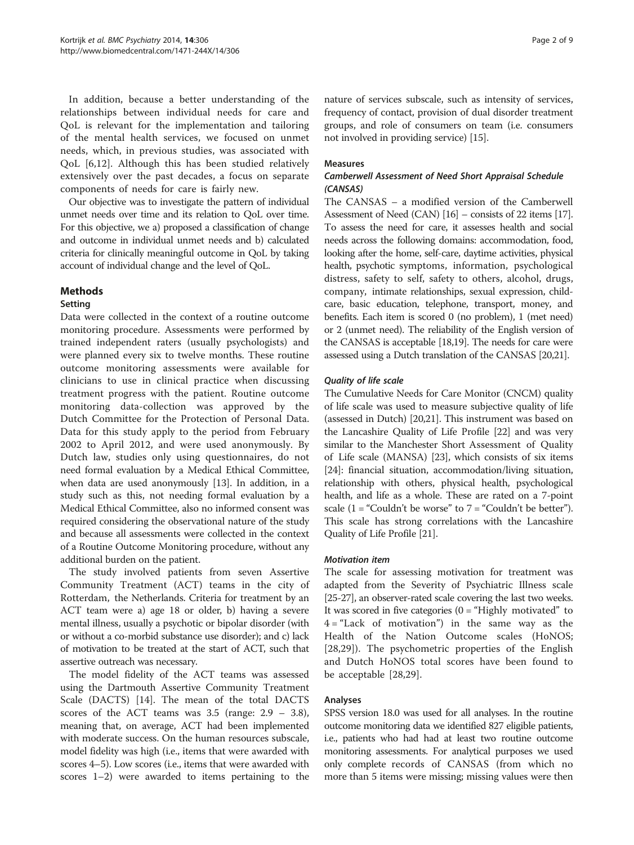In addition, because a better understanding of the relationships between individual needs for care and QoL is relevant for the implementation and tailoring of the mental health services, we focused on unmet needs, which, in previous studies, was associated with QoL [\[6](#page-7-0),[12\]](#page-7-0). Although this has been studied relatively extensively over the past decades, a focus on separate components of needs for care is fairly new.

Our objective was to investigate the pattern of individual unmet needs over time and its relation to QoL over time. For this objective, we a) proposed a classification of change and outcome in individual unmet needs and b) calculated criteria for clinically meaningful outcome in QoL by taking account of individual change and the level of QoL.

## Methods

## Setting

Data were collected in the context of a routine outcome monitoring procedure. Assessments were performed by trained independent raters (usually psychologists) and were planned every six to twelve months. These routine outcome monitoring assessments were available for clinicians to use in clinical practice when discussing treatment progress with the patient. Routine outcome monitoring data-collection was approved by the Dutch Committee for the Protection of Personal Data. Data for this study apply to the period from February 2002 to April 2012, and were used anonymously. By Dutch law, studies only using questionnaires, do not need formal evaluation by a Medical Ethical Committee, when data are used anonymously [\[13\]](#page-7-0). In addition, in a study such as this, not needing formal evaluation by a Medical Ethical Committee, also no informed consent was required considering the observational nature of the study and because all assessments were collected in the context of a Routine Outcome Monitoring procedure, without any additional burden on the patient.

The study involved patients from seven Assertive Community Treatment (ACT) teams in the city of Rotterdam, the Netherlands. Criteria for treatment by an ACT team were a) age 18 or older, b) having a severe mental illness, usually a psychotic or bipolar disorder (with or without a co-morbid substance use disorder); and c) lack of motivation to be treated at the start of ACT, such that assertive outreach was necessary.

The model fidelity of the ACT teams was assessed using the Dartmouth Assertive Community Treatment Scale (DACTS) [[14\]](#page-7-0). The mean of the total DACTS scores of the ACT teams was 3.5 (range: 2.9 – 3.8), meaning that, on average, ACT had been implemented with moderate success. On the human resources subscale, model fidelity was high (i.e., items that were awarded with scores 4–5). Low scores (i.e., items that were awarded with scores 1–2) were awarded to items pertaining to the nature of services subscale, such as intensity of services, frequency of contact, provision of dual disorder treatment groups, and role of consumers on team (i.e. consumers not involved in providing service) [\[15](#page-7-0)].

## Measures

## Camberwell Assessment of Need Short Appraisal Schedule (CANSAS)

The CANSAS – a modified version of the Camberwell Assessment of Need (CAN) [[16](#page-7-0)] – consists of 22 items [\[17](#page-7-0)]. To assess the need for care, it assesses health and social needs across the following domains: accommodation, food, looking after the home, self-care, daytime activities, physical health, psychotic symptoms, information, psychological distress, safety to self, safety to others, alcohol, drugs, company, intimate relationships, sexual expression, childcare, basic education, telephone, transport, money, and benefits. Each item is scored 0 (no problem), 1 (met need) or 2 (unmet need). The reliability of the English version of the CANSAS is acceptable [\[18,19\]](#page-7-0). The needs for care were assessed using a Dutch translation of the CANSAS [\[20,21](#page-7-0)].

## Quality of life scale

The Cumulative Needs for Care Monitor (CNCM) quality of life scale was used to measure subjective quality of life (assessed in Dutch) [\[20,21](#page-7-0)]. This instrument was based on the Lancashire Quality of Life Profile [\[22\]](#page-7-0) and was very similar to the Manchester Short Assessment of Quality of Life scale (MANSA) [\[23](#page-7-0)], which consists of six items [[24](#page-7-0)]: financial situation, accommodation/living situation, relationship with others, physical health, psychological health, and life as a whole. These are rated on a 7-point scale  $(1 = "Couldn't be worse" to 7 = "Couldn't be better").$ This scale has strong correlations with the Lancashire Quality of Life Profile [[21](#page-7-0)].

## Motivation item

The scale for assessing motivation for treatment was adapted from the Severity of Psychiatric Illness scale [[25-27\]](#page-7-0), an observer-rated scale covering the last two weeks. It was scored in five categories  $(0 = "Highly motivated"$  to  $4 =$ "Lack of motivation") in the same way as the Health of the Nation Outcome scales (HoNOS; [[28](#page-7-0)[,29](#page-8-0)]). The psychometric properties of the English and Dutch HoNOS total scores have been found to be acceptable [[28,](#page-7-0)[29](#page-8-0)].

## Analyses

SPSS version 18.0 was used for all analyses. In the routine outcome monitoring data we identified 827 eligible patients, i.e., patients who had had at least two routine outcome monitoring assessments. For analytical purposes we used only complete records of CANSAS (from which no more than 5 items were missing; missing values were then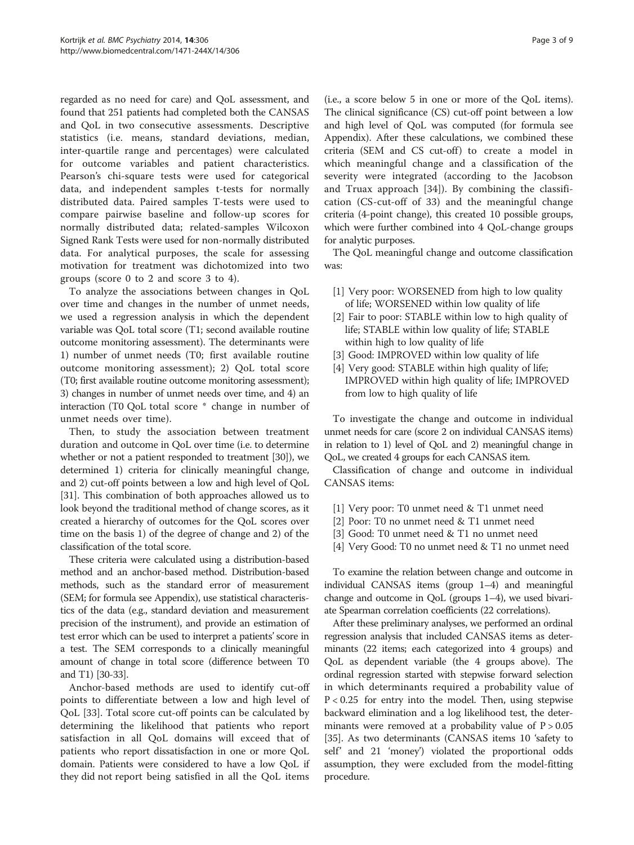regarded as no need for care) and QoL assessment, and found that 251 patients had completed both the CANSAS and QoL in two consecutive assessments. Descriptive statistics (i.e. means, standard deviations, median, inter-quartile range and percentages) were calculated for outcome variables and patient characteristics. Pearson's chi-square tests were used for categorical data, and independent samples t-tests for normally distributed data. Paired samples T-tests were used to compare pairwise baseline and follow-up scores for normally distributed data; related-samples Wilcoxon Signed Rank Tests were used for non-normally distributed data. For analytical purposes, the scale for assessing motivation for treatment was dichotomized into two groups (score 0 to 2 and score 3 to 4).

To analyze the associations between changes in QoL over time and changes in the number of unmet needs, we used a regression analysis in which the dependent variable was QoL total score (T1; second available routine outcome monitoring assessment). The determinants were 1) number of unmet needs (T0; first available routine outcome monitoring assessment); 2) QoL total score (T0; first available routine outcome monitoring assessment); 3) changes in number of unmet needs over time, and 4) an interaction (T0 QoL total score \* change in number of unmet needs over time).

Then, to study the association between treatment duration and outcome in QoL over time (i.e. to determine whether or not a patient responded to treatment [[30](#page-8-0)]), we determined 1) criteria for clinically meaningful change, and 2) cut-off points between a low and high level of QoL [[31](#page-8-0)]. This combination of both approaches allowed us to look beyond the traditional method of change scores, as it created a hierarchy of outcomes for the QoL scores over time on the basis 1) of the degree of change and 2) of the classification of the total score.

These criteria were calculated using a distribution-based method and an anchor-based method. Distribution-based methods, such as the standard error of measurement (SEM; for formula see [Appendix](#page-7-0)), use statistical characteristics of the data (e.g., standard deviation and measurement precision of the instrument), and provide an estimation of test error which can be used to interpret a patients' score in a test. The SEM corresponds to a clinically meaningful amount of change in total score (difference between T0 and T1) [\[30-33\]](#page-8-0).

Anchor-based methods are used to identify cut-off points to differentiate between a low and high level of QoL [\[33](#page-8-0)]. Total score cut-off points can be calculated by determining the likelihood that patients who report satisfaction in all QoL domains will exceed that of patients who report dissatisfaction in one or more QoL domain. Patients were considered to have a low QoL if they did not report being satisfied in all the QoL items

(i.e., a score below 5 in one or more of the QoL items). The clinical significance (CS) cut-off point between a low and high level of QoL was computed (for formula see [Appendix\)](#page-7-0). After these calculations, we combined these criteria (SEM and CS cut-off) to create a model in which meaningful change and a classification of the severity were integrated (according to the Jacobson and Truax approach [\[34](#page-8-0)]). By combining the classification (CS-cut-off of 33) and the meaningful change criteria (4-point change), this created 10 possible groups, which were further combined into 4 QoL-change groups for analytic purposes.

The QoL meaningful change and outcome classification was:

- [1] Very poor: WORSENED from high to low quality of life; WORSENED within low quality of life
- [2] Fair to poor: STABLE within low to high quality of life; STABLE within low quality of life; STABLE within high to low quality of life
- [3] Good: IMPROVED within low quality of life
- [4] Very good: STABLE within high quality of life; IMPROVED within high quality of life; IMPROVED from low to high quality of life

To investigate the change and outcome in individual unmet needs for care (score 2 on individual CANSAS items) in relation to 1) level of QoL and 2) meaningful change in QoL, we created 4 groups for each CANSAS item.

Classification of change and outcome in individual CANSAS items:

- [1] Very poor: T0 unmet need & T1 unmet need
- [2] Poor: T0 no unmet need & T1 unmet need
- [3] Good: T0 unmet need & T1 no unmet need
- [4] Very Good: T0 no unmet need & T1 no unmet need

To examine the relation between change and outcome in individual CANSAS items (group 1–4) and meaningful change and outcome in QoL (groups 1–4), we used bivariate Spearman correlation coefficients (22 correlations).

After these preliminary analyses, we performed an ordinal regression analysis that included CANSAS items as determinants (22 items; each categorized into 4 groups) and QoL as dependent variable (the 4 groups above). The ordinal regression started with stepwise forward selection in which determinants required a probability value of  $P < 0.25$  for entry into the model. Then, using stepwise backward elimination and a log likelihood test, the determinants were removed at a probability value of  $P > 0.05$ [[35](#page-8-0)]. As two determinants (CANSAS items 10 'safety to self' and 21 'money') violated the proportional odds assumption, they were excluded from the model-fitting procedure.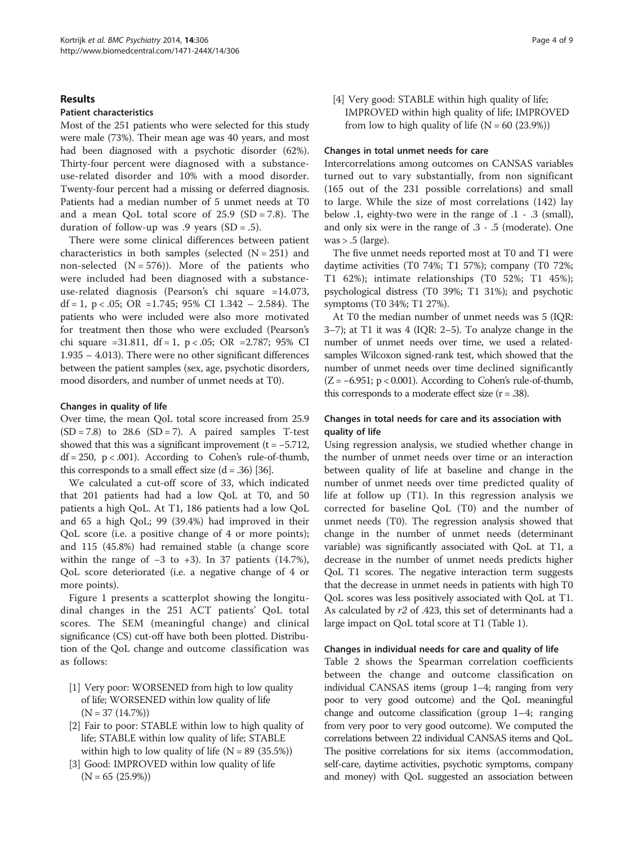## Results

## Patient characteristics

Most of the 251 patients who were selected for this study were male (73%). Their mean age was 40 years, and most had been diagnosed with a psychotic disorder (62%). Thirty-four percent were diagnosed with a substanceuse-related disorder and 10% with a mood disorder. Twenty-four percent had a missing or deferred diagnosis. Patients had a median number of 5 unmet needs at T0 and a mean QoL total score of 25.9 (SD = 7.8). The duration of follow-up was  $.9$  years (SD = .5).

There were some clinical differences between patient characteristics in both samples (selected  $(N = 251)$  and non-selected  $(N = 576)$ ). More of the patients who were included had been diagnosed with a substanceuse-related diagnosis (Pearson's chi square =14.073, df = 1, p < .05; OR = 1.745; 95% CI 1.342 - 2.584). The patients who were included were also more motivated for treatment then those who were excluded (Pearson's chi square =31.811, df = 1, p < .05; OR =2.787; 95% CI 1.935 – 4.013). There were no other significant differences between the patient samples (sex, age, psychotic disorders, mood disorders, and number of unmet needs at T0).

## Changes in quality of life

Over time, the mean QoL total score increased from 25.9  $(SD = 7.8)$  to 28.6  $(SD = 7)$ . A paired samples T-test showed that this was a significant improvement ( $t = -5.712$ ,  $df = 250$ ,  $p < .001$ ). According to Cohen's rule-of-thumb, this corresponds to a small effect size  $(d = .36)$  $(d = .36)$  $(d = .36)$  [36].

We calculated a cut-off score of 33, which indicated that 201 patients had had a low QoL at T0, and 50 patients a high QoL. At T1, 186 patients had a low QoL and 65 a high QoL; 99 (39.4%) had improved in their QoL score (i.e. a positive change of 4 or more points); and 115 (45.8%) had remained stable (a change score within the range of  $-3$  to  $+3$ ). In 37 patients (14.7%), QoL score deteriorated (i.e. a negative change of 4 or more points).

Figure [1](#page-4-0) presents a scatterplot showing the longitudinal changes in the 251 ACT patients' QoL total scores. The SEM (meaningful change) and clinical significance (CS) cut-off have both been plotted. Distribution of the QoL change and outcome classification was as follows:

- [1] Very poor: WORSENED from high to low quality of life; WORSENED within low quality of life  $(N = 37 (14.7%)$
- [2] Fair to poor: STABLE within low to high quality of life; STABLE within low quality of life; STABLE within high to low quality of life  $(N = 89 (35.5\%)$
- [3] Good: IMPROVED within low quality of life  $(N = 65 (25.9\%))$

[4] Very good: STABLE within high quality of life; IMPROVED within high quality of life; IMPROVED from low to high quality of life  $(N = 60 (23.9%)$ 

## Changes in total unmet needs for care

Intercorrelations among outcomes on CANSAS variables turned out to vary substantially, from non significant (165 out of the 231 possible correlations) and small to large. While the size of most correlations (142) lay below .1, eighty-two were in the range of .1 - .3 (small), and only six were in the range of .3 - .5 (moderate). One was  $> 0.5$  (large).

The five unmet needs reported most at T0 and T1 were daytime activities (T0 74%; T1 57%); company (T0 72%; T1 62%); intimate relationships (T0 52%; T1 45%); psychological distress (T0 39%; T1 31%); and psychotic symptoms (T0 34%; T1 27%).

At T0 the median number of unmet needs was 5 (IQR: 3–7); at T1 it was 4 (IQR: 2–5). To analyze change in the number of unmet needs over time, we used a relatedsamples Wilcoxon signed-rank test, which showed that the number of unmet needs over time declined significantly  $(Z = -6.951; p < 0.001)$ . According to Cohen's rule-of-thumb, this corresponds to a moderate effect size  $(r = .38)$ .

## Changes in total needs for care and its association with quality of life

Using regression analysis, we studied whether change in the number of unmet needs over time or an interaction between quality of life at baseline and change in the number of unmet needs over time predicted quality of life at follow up (T1). In this regression analysis we corrected for baseline QoL (T0) and the number of unmet needs (T0). The regression analysis showed that change in the number of unmet needs (determinant variable) was significantly associated with QoL at T1, a decrease in the number of unmet needs predicts higher QoL T1 scores. The negative interaction term suggests that the decrease in unmet needs in patients with high T0 QoL scores was less positively associated with QoL at T1. As calculated by r2 of .423, this set of determinants had a large impact on QoL total score at T1 (Table [1\)](#page-4-0).

## Changes in individual needs for care and quality of life

Table [2](#page-5-0) shows the Spearman correlation coefficients between the change and outcome classification on individual CANSAS items (group 1–4; ranging from very poor to very good outcome) and the QoL meaningful change and outcome classification (group 1–4; ranging from very poor to very good outcome). We computed the correlations between 22 individual CANSAS items and QoL. The positive correlations for six items (accommodation, self-care, daytime activities, psychotic symptoms, company and money) with QoL suggested an association between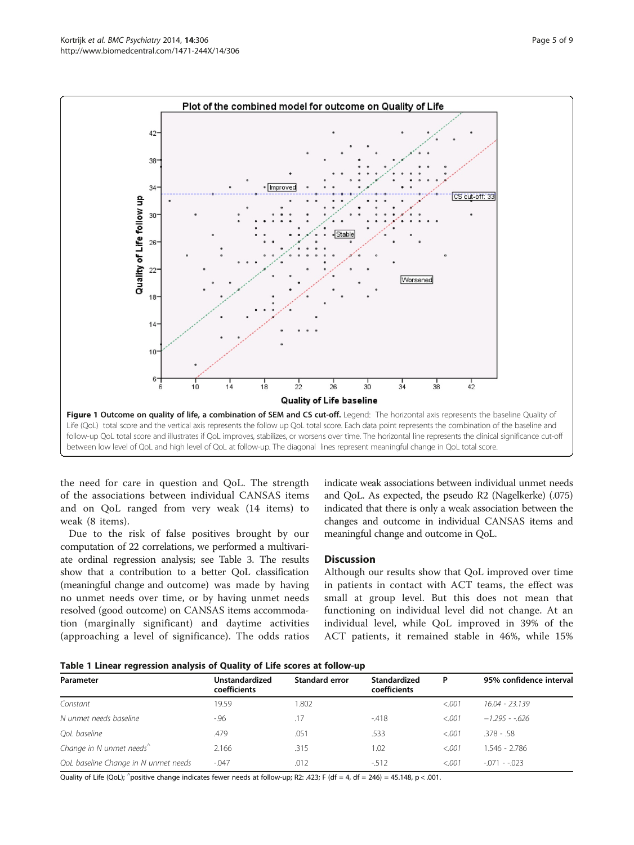<span id="page-4-0"></span>

the need for care in question and QoL. The strength of the associations between individual CANSAS items and on QoL ranged from very weak (14 items) to weak (8 items).

Due to the risk of false positives brought by our computation of 22 correlations, we performed a multivariate ordinal regression analysis; see Table [3.](#page-6-0) The results show that a contribution to a better QoL classification (meaningful change and outcome) was made by having no unmet needs over time, or by having unmet needs resolved (good outcome) on CANSAS items accommodation (marginally significant) and daytime activities (approaching a level of significance). The odds ratios

indicate weak associations between individual unmet needs and QoL. As expected, the pseudo R2 (Nagelkerke) (.075) indicated that there is only a weak association between the changes and outcome in individual CANSAS items and meaningful change and outcome in QoL.

## **Discussion**

Although our results show that QoL improved over time in patients in contact with ACT teams, the effect was small at group level. But this does not mean that functioning on individual level did not change. At an individual level, while QoL improved in 39% of the ACT patients, it remained stable in 46%, while 15%

Table 1 Linear regression analysis of Quality of Life scores at follow-up

| 95% confidence interval |
|-------------------------|
|                         |
| $16.04 - 23.139$        |
| $-1.295 - 626$          |
| $.378 - .58$            |
| 1.546 - 2.786           |
| $-071 - 023$            |
|                         |

Quality of Life (QoL); ^ positive change indicates fewer needs at follow-up; R2: .423; F (df = 4, df = 246) = 45.148, p < .001.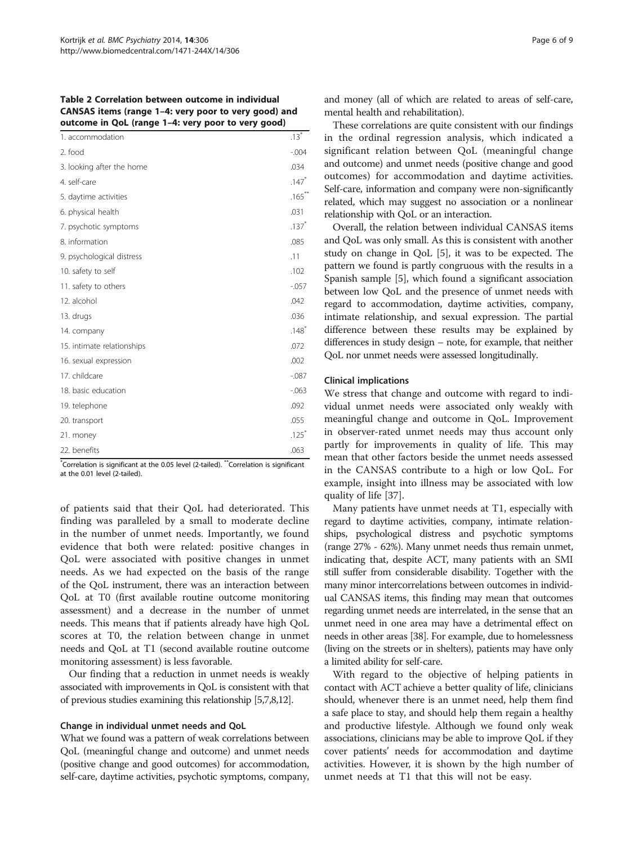<span id="page-5-0"></span>Table 2 Correlation between outcome in individual CANSAS items (range 1–4: very poor to very good) and outcome in QoL (range 1–4: very poor to very good)

| 1. accommodation           | $.13*$              |
|----------------------------|---------------------|
| 2. food                    | $-.004$             |
| 3. looking after the home  | .034                |
| 4. self-care               | $.147*$             |
| 5. daytime activities      | $.165***$           |
| 6. physical health         | .031                |
| 7. psychotic symptoms      | $.137*$             |
| 8. information             | .085                |
| 9. psychological distress  | .11                 |
| 10. safety to self         | .102                |
| 11. safety to others       | $-0.057$            |
| 12. alcohol                | .042                |
| 13. drugs                  | .036                |
| 14. company                | $.148$ <sup>*</sup> |
| 15. intimate relationships | .072                |
| 16. sexual expression      | .002                |
| 17. childcare              | $-0.087$            |
| 18. basic education        | $-063$              |
| 19. telephone              | .092                |
| 20. transport              | .055                |
| 21. money                  | .125                |
| 22. benefits               | .063                |

\* Correlation is significant at the 0.05 level (2-tailed). \*\*Correlation is significant at the 0.01 level (2-tailed).

of patients said that their QoL had deteriorated. This finding was paralleled by a small to moderate decline in the number of unmet needs. Importantly, we found evidence that both were related: positive changes in QoL were associated with positive changes in unmet needs. As we had expected on the basis of the range of the QoL instrument, there was an interaction between QoL at T0 (first available routine outcome monitoring assessment) and a decrease in the number of unmet needs. This means that if patients already have high QoL scores at T0, the relation between change in unmet needs and QoL at T1 (second available routine outcome monitoring assessment) is less favorable.

Our finding that a reduction in unmet needs is weakly associated with improvements in QoL is consistent with that of previous studies examining this relationship [[5,7,8,12\]](#page-7-0).

#### Change in individual unmet needs and QoL

What we found was a pattern of weak correlations between QoL (meaningful change and outcome) and unmet needs (positive change and good outcomes) for accommodation, self-care, daytime activities, psychotic symptoms, company, and money (all of which are related to areas of self-care, mental health and rehabilitation).

These correlations are quite consistent with our findings in the ordinal regression analysis, which indicated a significant relation between QoL (meaningful change and outcome) and unmet needs (positive change and good outcomes) for accommodation and daytime activities. Self-care, information and company were non-significantly related, which may suggest no association or a nonlinear relationship with QoL or an interaction.

Overall, the relation between individual CANSAS items and QoL was only small. As this is consistent with another study on change in QoL [\[5](#page-7-0)], it was to be expected. The pattern we found is partly congruous with the results in a Spanish sample [\[5\]](#page-7-0), which found a significant association between low QoL and the presence of unmet needs with regard to accommodation, daytime activities, company, intimate relationship, and sexual expression. The partial difference between these results may be explained by differences in study design – note, for example, that neither QoL nor unmet needs were assessed longitudinally.

#### Clinical implications

We stress that change and outcome with regard to individual unmet needs were associated only weakly with meaningful change and outcome in QoL. Improvement in observer-rated unmet needs may thus account only partly for improvements in quality of life. This may mean that other factors beside the unmet needs assessed in the CANSAS contribute to a high or low QoL. For example, insight into illness may be associated with low quality of life [[37\]](#page-8-0).

Many patients have unmet needs at T1, especially with regard to daytime activities, company, intimate relationships, psychological distress and psychotic symptoms (range 27% - 62%). Many unmet needs thus remain unmet, indicating that, despite ACT, many patients with an SMI still suffer from considerable disability. Together with the many minor intercorrelations between outcomes in individual CANSAS items, this finding may mean that outcomes regarding unmet needs are interrelated, in the sense that an unmet need in one area may have a detrimental effect on needs in other areas [\[38\]](#page-8-0). For example, due to homelessness (living on the streets or in shelters), patients may have only a limited ability for self-care.

With regard to the objective of helping patients in contact with ACT achieve a better quality of life, clinicians should, whenever there is an unmet need, help them find a safe place to stay, and should help them regain a healthy and productive lifestyle. Although we found only weak associations, clinicians may be able to improve QoL if they cover patients' needs for accommodation and daytime activities. However, it is shown by the high number of unmet needs at T1 that this will not be easy.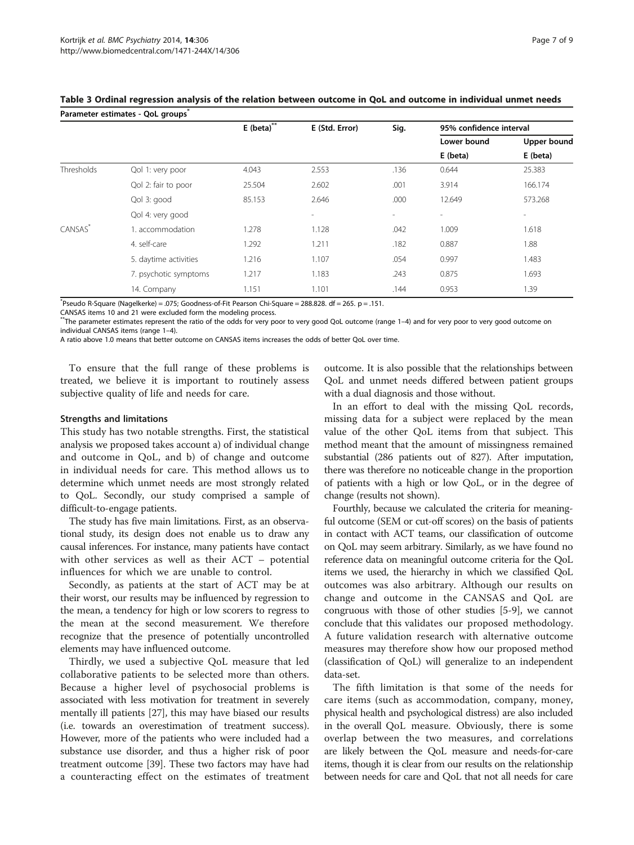|                     |                       | $E$ (beta) <sup>**</sup> |                          | E (Std. Error)           | Sig.                     | 95% confidence interval        |  |
|---------------------|-----------------------|--------------------------|--------------------------|--------------------------|--------------------------|--------------------------------|--|
|                     |                       |                          |                          |                          | Lower bound<br>E (beta)  | <b>Upper bound</b><br>E (beta) |  |
|                     |                       |                          |                          |                          |                          |                                |  |
| Thresholds          | Qol 1: very poor      | 4.043                    | 2.553                    | .136                     | 0.644                    | 25.383                         |  |
|                     | Qol 2: fair to poor   | 25.504                   | 2.602                    | .001                     | 3.914                    | 166.174                        |  |
|                     | Qol 3: good           | 85.153                   | 2.646                    | .000                     | 12.649                   | 573.268                        |  |
|                     | Qol 4: very good      |                          | $\overline{\phantom{a}}$ | $\overline{\phantom{a}}$ | $\overline{\phantom{a}}$ | $\overline{\phantom{a}}$       |  |
| CANSAS <sup>*</sup> | . accommodation       | 1.278                    | 1.128                    | .042                     | 1.009                    | 1.618                          |  |
|                     | 4. self-care          | 1.292                    | 1.211                    | .182                     | 0.887                    | 1.88                           |  |
|                     | 5. daytime activities | 1.216                    | 1.107                    | .054                     | 0.997                    | 1.483                          |  |
|                     | 7. psychotic symptoms | 1.217                    | 1.183                    | .243                     | 0.875                    | 1.693                          |  |
|                     | 14. Company           | 1.151                    | 1.101                    | .144                     | 0.953                    | 1.39                           |  |

<span id="page-6-0"></span>Table 3 Ordinal regression analysis of the relation between outcome in QoL and outcome in individual unmet needs Parameter estimates - QoL groups\*

\* Pseudo R-Square (Nagelkerke) = .075; Goodness-of-Fit Pearson Chi-Square = 288.828. df = 265. p = .151.

CANSAS items 10 and 21 were excluded form the modeling process.

\*\*The parameter estimates represent the ratio of the odds for very poor to very good QoL outcome (range 1–4) and for very poor to very good outcome on individual CANSAS items (range 1–4).

A ratio above 1.0 means that better outcome on CANSAS items increases the odds of better QoL over time.

To ensure that the full range of these problems is treated, we believe it is important to routinely assess subjective quality of life and needs for care.

#### Strengths and limitations

This study has two notable strengths. First, the statistical analysis we proposed takes account a) of individual change and outcome in QoL, and b) of change and outcome in individual needs for care. This method allows us to determine which unmet needs are most strongly related to QoL. Secondly, our study comprised a sample of difficult-to-engage patients.

The study has five main limitations. First, as an observational study, its design does not enable us to draw any causal inferences. For instance, many patients have contact with other services as well as their ACT – potential influences for which we are unable to control.

Secondly, as patients at the start of ACT may be at their worst, our results may be influenced by regression to the mean, a tendency for high or low scorers to regress to the mean at the second measurement. We therefore recognize that the presence of potentially uncontrolled elements may have influenced outcome.

Thirdly, we used a subjective QoL measure that led collaborative patients to be selected more than others. Because a higher level of psychosocial problems is associated with less motivation for treatment in severely mentally ill patients [\[27](#page-7-0)], this may have biased our results (i.e. towards an overestimation of treatment success). However, more of the patients who were included had a substance use disorder, and thus a higher risk of poor treatment outcome [[39](#page-8-0)]. These two factors may have had a counteracting effect on the estimates of treatment

outcome. It is also possible that the relationships between QoL and unmet needs differed between patient groups with a dual diagnosis and those without.

In an effort to deal with the missing QoL records, missing data for a subject were replaced by the mean value of the other QoL items from that subject. This method meant that the amount of missingness remained substantial (286 patients out of 827). After imputation, there was therefore no noticeable change in the proportion of patients with a high or low QoL, or in the degree of change (results not shown).

Fourthly, because we calculated the criteria for meaningful outcome (SEM or cut-off scores) on the basis of patients in contact with ACT teams, our classification of outcome on QoL may seem arbitrary. Similarly, as we have found no reference data on meaningful outcome criteria for the QoL items we used, the hierarchy in which we classified QoL outcomes was also arbitrary. Although our results on change and outcome in the CANSAS and QoL are congruous with those of other studies [[5-9\]](#page-7-0), we cannot conclude that this validates our proposed methodology. A future validation research with alternative outcome measures may therefore show how our proposed method (classification of QoL) will generalize to an independent data-set.

The fifth limitation is that some of the needs for care items (such as accommodation, company, money, physical health and psychological distress) are also included in the overall QoL measure. Obviously, there is some overlap between the two measures, and correlations are likely between the QoL measure and needs-for-care items, though it is clear from our results on the relationship between needs for care and QoL that not all needs for care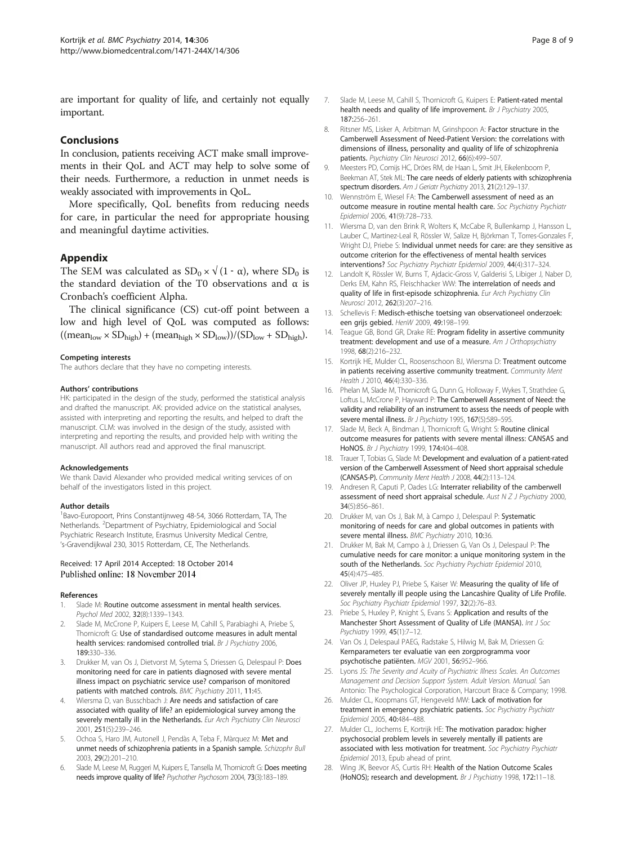<span id="page-7-0"></span>are important for quality of life, and certainly not equally important.

## Conclusions

In conclusion, patients receiving ACT make small improvements in their QoL and ACT may help to solve some of their needs. Furthermore, a reduction in unmet needs is weakly associated with improvements in QoL.

More specifically, QoL benefits from reducing needs for care, in particular the need for appropriate housing and meaningful daytime activities.

## Appendix

The SEM was calculated as  $SD_0 \times \sqrt{(1 - \alpha)}$ , where  $SD_0$  is the standard deviation of the T0 observations and  $α$  is Cronbach's coefficient Alpha.

The clinical significance (CS) cut-off point between a low and high level of QoL was computed as follows:  $((mean_{low} \times SD_{high}) + (mean_{high} \times SD_{low})/(SD_{low} + SD_{high}).$ 

#### Competing interests

The authors declare that they have no competing interests.

#### Authors' contributions

HK: participated in the design of the study, performed the statistical analysis and drafted the manuscript. AK: provided advice on the statistical analyses, assisted with interpreting and reporting the results, and helped to draft the manuscript. CLM: was involved in the design of the study, assisted with interpreting and reporting the results, and provided help with writing the manuscript. All authors read and approved the final manuscript.

#### Acknowledgements

We thank David Alexander who provided medical writing services of on behalf of the investigators listed in this project.

#### Author details

<sup>1</sup> Bavo-Europoort, Prins Constantijnweg 48-54, 3066 Rotterdam, TA, The Netherlands. <sup>2</sup>Department of Psychiatry, Epidemiological and Social Psychiatric Research Institute, Erasmus University Medical Centre, 's-Gravendijkwal 230, 3015 Rotterdam, CE, The Netherlands.

#### Received: 17 April 2014 Accepted: 18 October 2014 Published online: 18 November 2014

#### References

- Slade M: Routine outcome assessment in mental health services. Psychol Med 2002, 32(8):1339–1343.
- Slade M, McCrone P, Kuipers E, Leese M, Cahill S, Parabiaghi A, Priebe S, Thornicroft G: Use of standardised outcome measures in adult mental health services: randomised controlled trial. Br J Psychiatry 2006, 189:330–336.
- 3. Drukker M, van Os J, Dietvorst M, Sytema S, Driessen G, Delespaul P: Does monitoring need for care in patients diagnosed with severe mental illness impact on psychiatric service use? comparison of monitored patients with matched controls. BMC Psychiatry 2011, 11:45.
- 4. Wiersma D, van Busschbach J: Are needs and satisfaction of care associated with quality of life? an epidemiological survey among the severely mentally ill in the Netherlands. Eur Arch Psychiatry Clin Neurosci 2001, 251(5):239–246.
- Ochoa S, Haro JM, Autonell J, Pendàs A, Teba F, Màrquez M: Met and unmet needs of schizophrenia patients in a Spanish sample. Schizophr Bull 2003, 29(2):201–210.
- 6. Slade M, Leese M, Ruggeri M, Kuipers E, Tansella M, Thornicroft G: Does meeting needs improve quality of life? Psychother Psychosom 2004, 73(3):183–189.
- 7. Slade M, Leese M, Cahill S, Thornicroft G, Kuipers E: Patient-rated mental health needs and quality of life improvement. Br J Psychiatry 2005, 187:256–261.
- 8. Ritsner MS, Lisker A, Arbitman M, Grinshpoon A: Factor structure in the Camberwell Assessment of Need-Patient Version: the correlations with dimensions of illness, personality and quality of life of schizophrenia patients. Psychiatry Clin Neurosci 2012, 66(6):499-507.
- 9. Meesters PD, Comijs HC, Dröes RM, de Haan L, Smit JH, Eikelenboom P, Beekman AT, Stek ML: The care needs of elderly patients with schizophrenia spectrum disorders. Am J Geriatr Psychiatry 2013, 21(2):129–137.
- 10. Wennström E, Wiesel FA: The Camberwell assessment of need as an outcome measure in routine mental health care. Soc Psychiatry Psychiatr Epidemiol 2006, 41(9):728–733.
- 11. Wiersma D, van den Brink R, Wolters K, McCabe R, Bullenkamp J, Hansson L, Lauber C, Martinez-Leal R, Rössler W, Salize H, Björkman T, Torres-Gonzales F, Wright DJ, Priebe S: Individual unmet needs for care: are they sensitive as outcome criterion for the effectiveness of mental health services interventions? Soc Psychiatry Psychiatr Epidemiol 2009, 44(4):317–324.
- 12. Landolt K, Rössler W, Burns T, Ajdacic-Gross V, Galderisi S, Libiger J, Naber D, Derks EM, Kahn RS, Fleischhacker WW: The interrelation of needs and quality of life in first-episode schizophrenia. Eur Arch Psychiatry Clin Neurosci 2012, 262(3):207–216.
- 13. Schellevis F: Medisch-ethische toetsing van observationeel onderzoek: een grijs gebied. HenW 2009, 49:198–199.
- 14. Teague GB, Bond GR, Drake RE: Program fidelity in assertive community treatment: development and use of a measure. Am J Orthopsychiatry 1998, 68(2):216–232.
- 15. Kortrijk HE, Mulder CL, Roosenschoon BJ, Wiersma D: Treatment outcome in patients receiving assertive community treatment. Community Ment Health J 2010, 46(4):330–336.
- 16. Phelan M, Slade M, Thornicroft G, Dunn G, Holloway F, Wykes T, Strathdee G, Loftus L, McCrone P, Hayward P: The Camberwell Assessment of Need: the validity and reliability of an instrument to assess the needs of people with severe mental illness. Br J Psychiatry 1995, 167(5):589-595.
- 17. Slade M, Beck A, Bindman J, Thornicroft G, Wright S: Routine clinical outcome measures for patients with severe mental illness: CANSAS and HoNOS. Br J Psychiatry 1999, 174:404–408.
- 18. Trauer T, Tobias G, Slade M: Development and evaluation of a patient-rated version of the Camberwell Assessment of Need short appraisal schedule (CANSAS-P). Community Ment Health J 2008, 44(2):113–124.
- 19. Andresen R, Caputi P, Oades LG: Interrater reliability of the camberwell assessment of need short appraisal schedule. Aust N Z J Psychiatry 2000, 34(5):856–861.
- 20. Drukker M, van Os J, Bak M, à Campo J, Delespaul P: Systematic monitoring of needs for care and global outcomes in patients with severe mental illness. BMC Psychiatry 2010, 10:36.
- 21. Drukker M, Bak M, Campo à J, Driessen G, Van Os J, Delespaul P: The cumulative needs for care monitor: a unique monitoring system in the south of the Netherlands. Soc Psychiatry Psychiatr Epidemiol 2010, 45(4):475–485.
- 22. Oliver JP, Huxley PJ, Priebe S, Kaiser W: Measuring the quality of life of severely mentally ill people using the Lancashire Quality of Life Profile. Soc Psychiatry Psychiatr Epidemiol 1997, 32(2):76–83.
- 23. Priebe S, Huxley P, Knight S, Evans S: Application and results of the Manchester Short Assessment of Quality of Life (MANSA). Int J Soc Psychiatry 1999, 45(1):7–12.
- 24. Van Os J, Delespaul PAEG, Radstake S, Hilwig M, Bak M, Driessen G: Kernparameters ter evaluatie van een zorgprogramma voor psychotische patiënten. MGV 2001, 56:952–966.
- 25. Lyons JS: The Severity and Acuity of Psychiatric Illness Scales. An Outcomes Management and Decision Support System. Adult Version. Manual. San Antonio: The Psychological Corporation, Harcourt Brace & Company; 1998.
- 26. Mulder CL, Koopmans GT, Hengeveld MW: Lack of motivation for treatment in emergency psychiatric patients. Soc Psychiatry Psychiatr Epidemiol 2005, 40:484–488.
- 27. Mulder CL, Jochems E, Kortrijk HE: The motivation paradox: higher psychosocial problem levels in severely mentally ill patients are associated with less motivation for treatment. Soc Psychiatry Psychiatr Epidemiol 2013, Epub ahead of print.
- 28. Wing JK, Beevor AS, Curtis RH: Health of the Nation Outcome Scales (HoNOS); research and development. Br J Psychiatry 1998, 172:11-18.